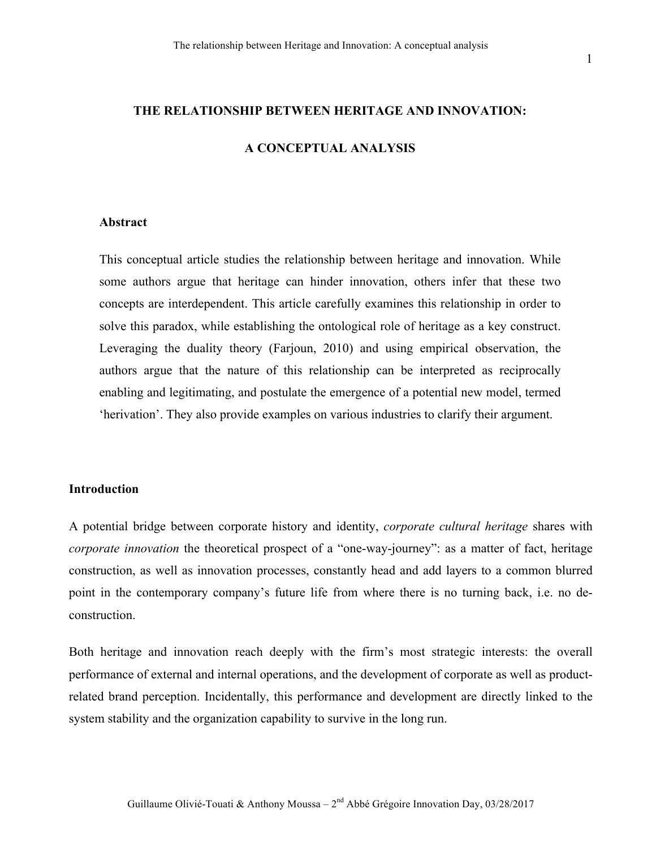### **THE RELATIONSHIP BETWEEN HERITAGE AND INNOVATION:**

## **A CONCEPTUAL ANALYSIS**

#### **Abstract**

This conceptual article studies the relationship between heritage and innovation. While some authors argue that heritage can hinder innovation, others infer that these two concepts are interdependent. This article carefully examines this relationship in order to solve this paradox, while establishing the ontological role of heritage as a key construct. Leveraging the duality theory (Farjoun, 2010) and using empirical observation, the authors argue that the nature of this relationship can be interpreted as reciprocally enabling and legitimating, and postulate the emergence of a potential new model, termed 'herivation'. They also provide examples on various industries to clarify their argument.

#### **Introduction**

A potential bridge between corporate history and identity, *corporate cultural heritage* shares with *corporate innovation* the theoretical prospect of a "one-way-journey": as a matter of fact, heritage construction, as well as innovation processes, constantly head and add layers to a common blurred point in the contemporary company's future life from where there is no turning back, i.e. no deconstruction.

Both heritage and innovation reach deeply with the firm's most strategic interests: the overall performance of external and internal operations, and the development of corporate as well as productrelated brand perception. Incidentally, this performance and development are directly linked to the system stability and the organization capability to survive in the long run.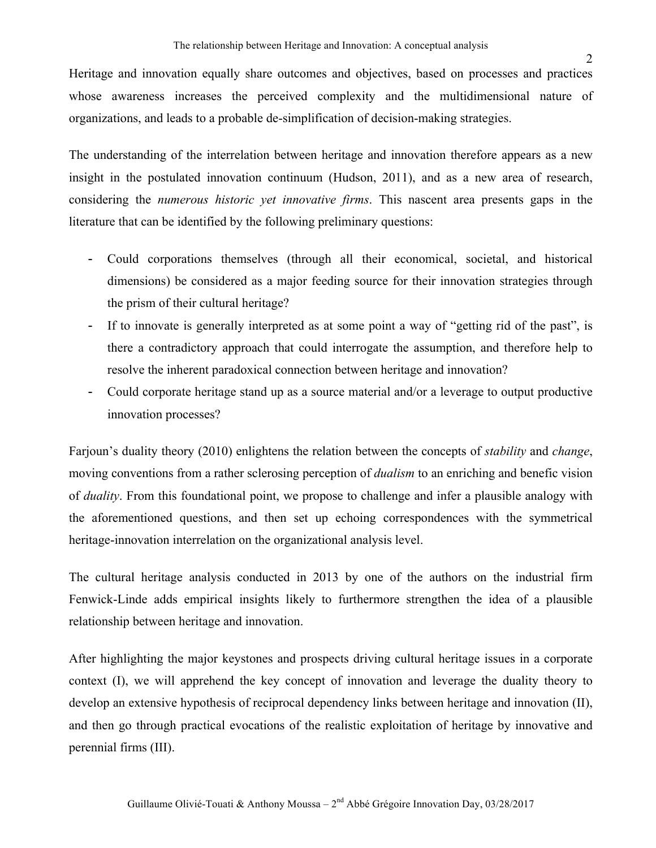Heritage and innovation equally share outcomes and objectives, based on processes and practices whose awareness increases the perceived complexity and the multidimensional nature of organizations, and leads to a probable de-simplification of decision-making strategies.

The understanding of the interrelation between heritage and innovation therefore appears as a new insight in the postulated innovation continuum (Hudson, 2011), and as a new area of research, considering the *numerous historic yet innovative firms*. This nascent area presents gaps in the literature that can be identified by the following preliminary questions:

- Could corporations themselves (through all their economical, societal, and historical dimensions) be considered as a major feeding source for their innovation strategies through the prism of their cultural heritage?
- If to innovate is generally interpreted as at some point a way of "getting rid of the past", is there a contradictory approach that could interrogate the assumption, and therefore help to resolve the inherent paradoxical connection between heritage and innovation?
- Could corporate heritage stand up as a source material and/or a leverage to output productive innovation processes?

Farjoun's duality theory (2010) enlightens the relation between the concepts of *stability* and *change*, moving conventions from a rather sclerosing perception of *dualism* to an enriching and benefic vision of *duality*. From this foundational point, we propose to challenge and infer a plausible analogy with the aforementioned questions, and then set up echoing correspondences with the symmetrical heritage-innovation interrelation on the organizational analysis level.

The cultural heritage analysis conducted in 2013 by one of the authors on the industrial firm Fenwick-Linde adds empirical insights likely to furthermore strengthen the idea of a plausible relationship between heritage and innovation.

After highlighting the major keystones and prospects driving cultural heritage issues in a corporate context (I), we will apprehend the key concept of innovation and leverage the duality theory to develop an extensive hypothesis of reciprocal dependency links between heritage and innovation (II), and then go through practical evocations of the realistic exploitation of heritage by innovative and perennial firms (III).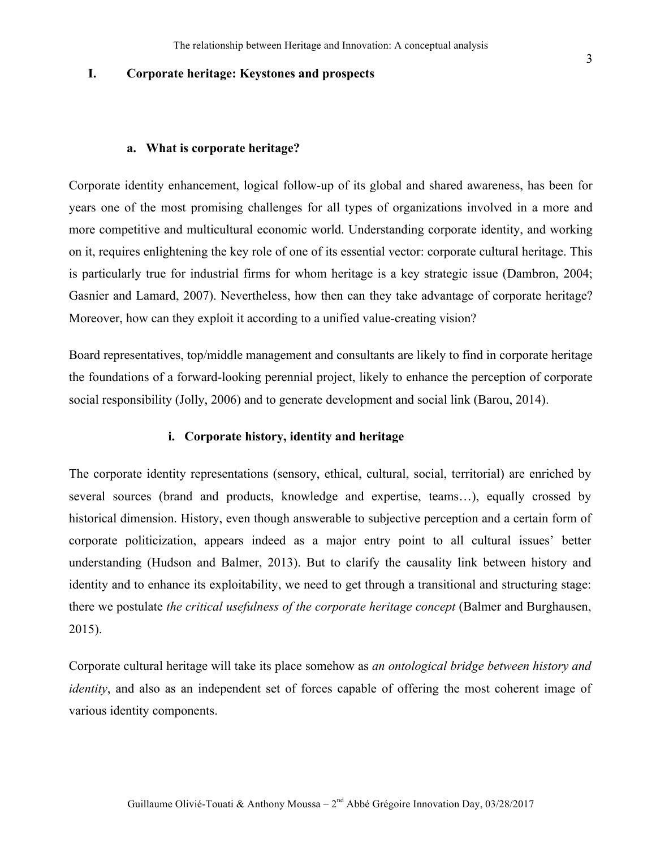## **I. Corporate heritage: Keystones and prospects**

### **a. What is corporate heritage?**

Corporate identity enhancement, logical follow-up of its global and shared awareness, has been for years one of the most promising challenges for all types of organizations involved in a more and more competitive and multicultural economic world. Understanding corporate identity, and working on it, requires enlightening the key role of one of its essential vector: corporate cultural heritage. This is particularly true for industrial firms for whom heritage is a key strategic issue (Dambron, 2004; Gasnier and Lamard, 2007). Nevertheless, how then can they take advantage of corporate heritage? Moreover, how can they exploit it according to a unified value-creating vision?

Board representatives, top/middle management and consultants are likely to find in corporate heritage the foundations of a forward-looking perennial project, likely to enhance the perception of corporate social responsibility (Jolly, 2006) and to generate development and social link (Barou, 2014).

### **i. Corporate history, identity and heritage**

The corporate identity representations (sensory, ethical, cultural, social, territorial) are enriched by several sources (brand and products, knowledge and expertise, teams…), equally crossed by historical dimension. History, even though answerable to subjective perception and a certain form of corporate politicization, appears indeed as a major entry point to all cultural issues' better understanding (Hudson and Balmer, 2013). But to clarify the causality link between history and identity and to enhance its exploitability, we need to get through a transitional and structuring stage: there we postulate *the critical usefulness of the corporate heritage concept* (Balmer and Burghausen, 2015).

Corporate cultural heritage will take its place somehow as *an ontological bridge between history and identity*, and also as an independent set of forces capable of offering the most coherent image of various identity components.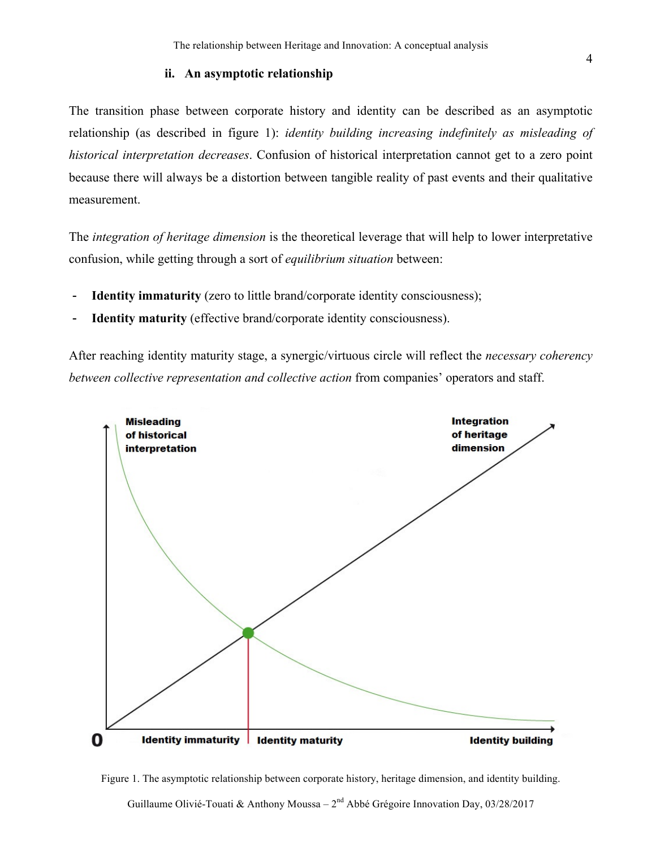#### **ii. An asymptotic relationship**

The transition phase between corporate history and identity can be described as an asymptotic relationship (as described in figure 1): *identity building increasing indefinitely as misleading of historical interpretation decreases*. Confusion of historical interpretation cannot get to a zero point because there will always be a distortion between tangible reality of past events and their qualitative measurement.

The *integration of heritage dimension* is the theoretical leverage that will help to lower interpretative confusion, while getting through a sort of *equilibrium situation* between:

- **Identity immaturity** (zero to little brand/corporate identity consciousness);
- **Identity maturity** (effective brand/corporate identity consciousness).

After reaching identity maturity stage, a synergic/virtuous circle will reflect the *necessary coherency between collective representation and collective action* from companies' operators and staff.



Figure 1. The asymptotic relationship between corporate history, heritage dimension, and identity building.

Guillaume Olivié-Touati & Anthony Moussa –  $2<sup>nd</sup>$  Abbé Grégoire Innovation Day, 03/28/2017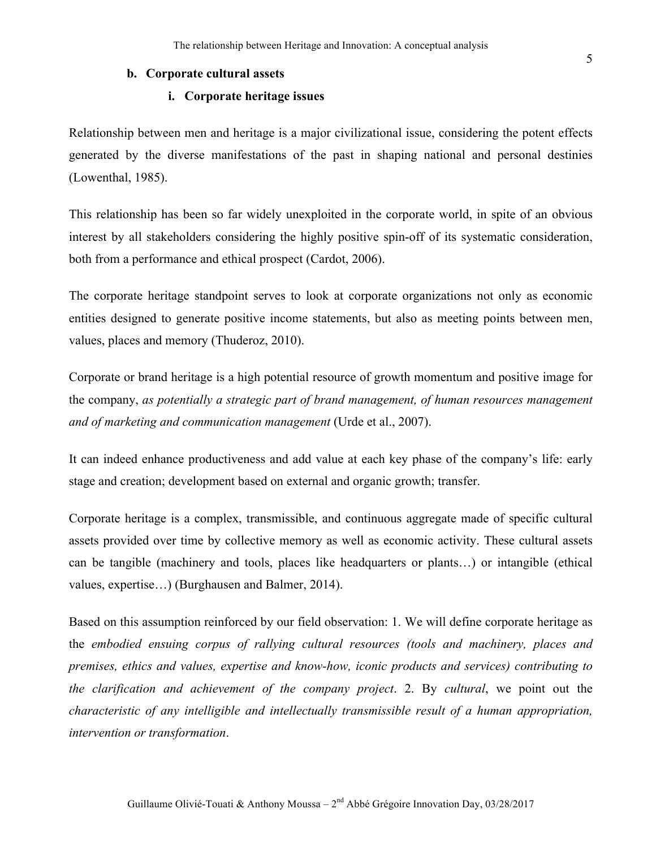#### **b. Corporate cultural assets**

#### **i. Corporate heritage issues**

Relationship between men and heritage is a major civilizational issue, considering the potent effects generated by the diverse manifestations of the past in shaping national and personal destinies (Lowenthal, 1985).

This relationship has been so far widely unexploited in the corporate world, in spite of an obvious interest by all stakeholders considering the highly positive spin-off of its systematic consideration, both from a performance and ethical prospect (Cardot, 2006).

The corporate heritage standpoint serves to look at corporate organizations not only as economic entities designed to generate positive income statements, but also as meeting points between men, values, places and memory (Thuderoz, 2010).

Corporate or brand heritage is a high potential resource of growth momentum and positive image for the company, *as potentially a strategic part of brand management, of human resources management and of marketing and communication management* (Urde et al., 2007).

It can indeed enhance productiveness and add value at each key phase of the company's life: early stage and creation; development based on external and organic growth; transfer.

Corporate heritage is a complex, transmissible, and continuous aggregate made of specific cultural assets provided over time by collective memory as well as economic activity. These cultural assets can be tangible (machinery and tools, places like headquarters or plants…) or intangible (ethical values, expertise…) (Burghausen and Balmer, 2014).

Based on this assumption reinforced by our field observation: 1. We will define corporate heritage as the *embodied ensuing corpus of rallying cultural resources (tools and machinery, places and premises, ethics and values, expertise and know-how, iconic products and services) contributing to the clarification and achievement of the company project*. 2. By *cultural*, we point out the *characteristic of any intelligible and intellectually transmissible result of a human appropriation, intervention or transformation*.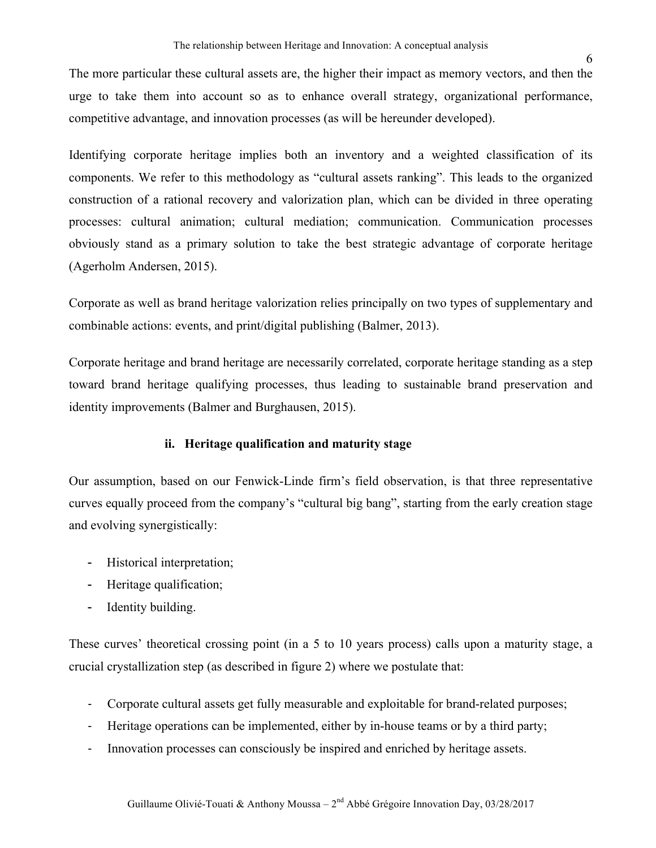Identifying corporate heritage implies both an inventory and a weighted classification of its components. We refer to this methodology as "cultural assets ranking". This leads to the organized construction of a rational recovery and valorization plan, which can be divided in three operating processes: cultural animation; cultural mediation; communication. Communication processes obviously stand as a primary solution to take the best strategic advantage of corporate heritage (Agerholm Andersen, 2015).

Corporate as well as brand heritage valorization relies principally on two types of supplementary and combinable actions: events, and print/digital publishing (Balmer, 2013).

Corporate heritage and brand heritage are necessarily correlated, corporate heritage standing as a step toward brand heritage qualifying processes, thus leading to sustainable brand preservation and identity improvements (Balmer and Burghausen, 2015).

# **ii. Heritage qualification and maturity stage**

Our assumption, based on our Fenwick-Linde firm's field observation, is that three representative curves equally proceed from the company's "cultural big bang", starting from the early creation stage and evolving synergistically:

- Historical interpretation;
- Heritage qualification;
- Identity building.

These curves' theoretical crossing point (in a 5 to 10 years process) calls upon a maturity stage, a crucial crystallization step (as described in figure 2) where we postulate that:

- Corporate cultural assets get fully measurable and exploitable for brand-related purposes;
- Heritage operations can be implemented, either by in-house teams or by a third party;
- Innovation processes can consciously be inspired and enriched by heritage assets.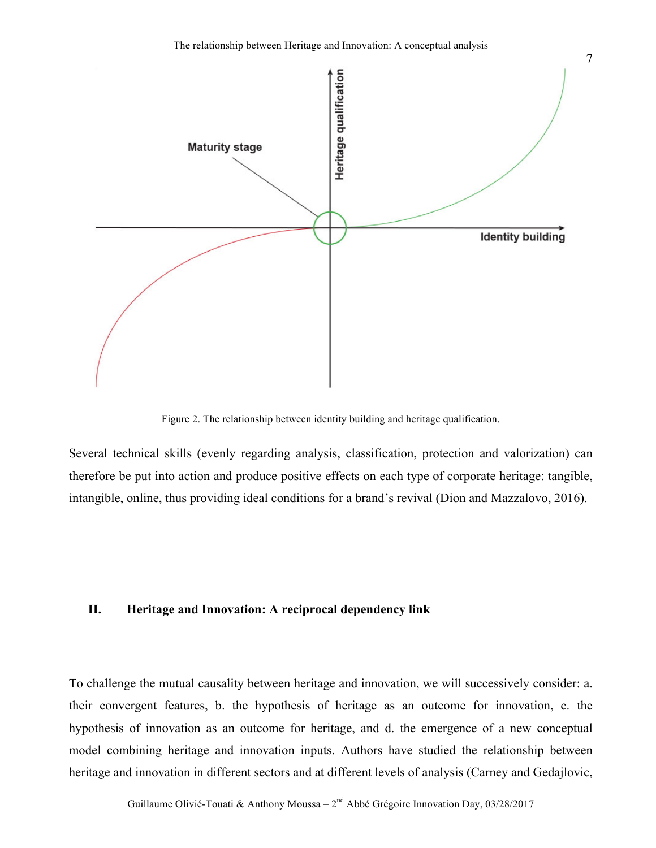

Figure 2. The relationship between identity building and heritage qualification.

Several technical skills (evenly regarding analysis, classification, protection and valorization) can therefore be put into action and produce positive effects on each type of corporate heritage: tangible, intangible, online, thus providing ideal conditions for a brand's revival (Dion and Mazzalovo, 2016).

# **II. Heritage and Innovation: A reciprocal dependency link**

To challenge the mutual causality between heritage and innovation, we will successively consider: a. their convergent features, b. the hypothesis of heritage as an outcome for innovation, c. the hypothesis of innovation as an outcome for heritage, and d. the emergence of a new conceptual model combining heritage and innovation inputs. Authors have studied the relationship between heritage and innovation in different sectors and at different levels of analysis (Carney and Gedajlovic,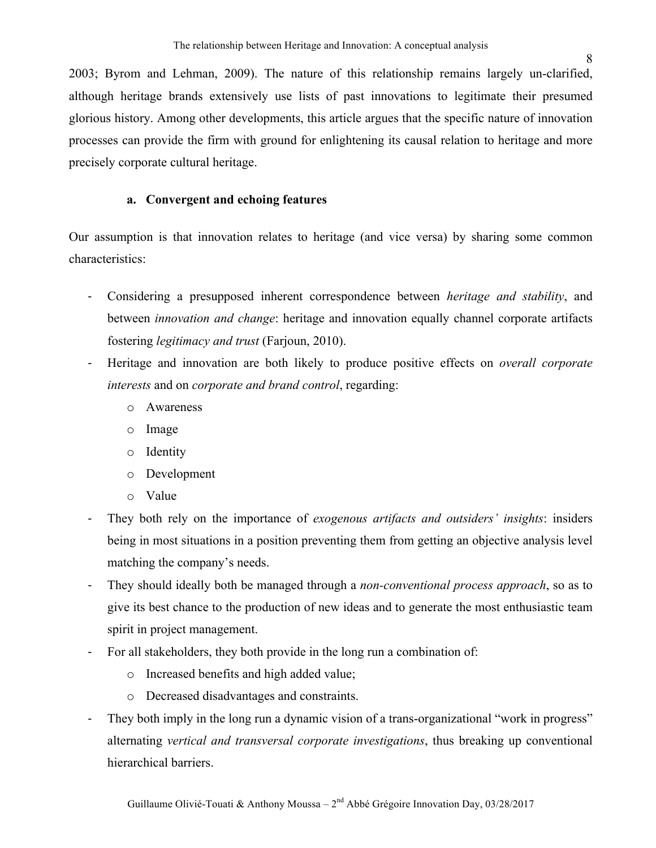2003; Byrom and Lehman, 2009). The nature of this relationship remains largely un-clarified, although heritage brands extensively use lists of past innovations to legitimate their presumed glorious history. Among other developments, this article argues that the specific nature of innovation processes can provide the firm with ground for enlightening its causal relation to heritage and more precisely corporate cultural heritage.

# **a. Convergent and echoing features**

Our assumption is that innovation relates to heritage (and vice versa) by sharing some common characteristics:

- Considering a presupposed inherent correspondence between *heritage and stability*, and between *innovation and change*: heritage and innovation equally channel corporate artifacts fostering *legitimacy and trust* (Farjoun, 2010).
- Heritage and innovation are both likely to produce positive effects on *overall corporate interests* and on *corporate and brand control*, regarding:
	- o Awareness
	- o Image
	- o Identity
	- o Development
	- o Value
- They both rely on the importance of *exogenous artifacts and outsiders' insights*: insiders being in most situations in a position preventing them from getting an objective analysis level matching the company's needs.
- They should ideally both be managed through a *non-conventional process approach*, so as to give its best chance to the production of new ideas and to generate the most enthusiastic team spirit in project management.
- For all stakeholders, they both provide in the long run a combination of:
	- o Increased benefits and high added value;
	- o Decreased disadvantages and constraints.
- They both imply in the long run a dynamic vision of a trans-organizational "work in progress" alternating *vertical and transversal corporate investigations*, thus breaking up conventional hierarchical barriers.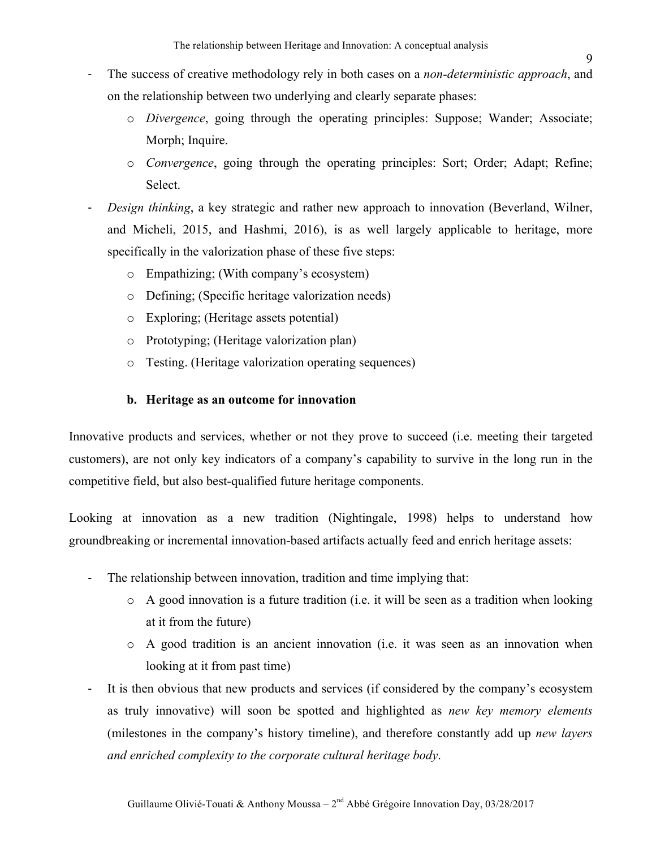- The success of creative methodology rely in both cases on a *non-deterministic approach*, and on the relationship between two underlying and clearly separate phases:
	- o *Divergence*, going through the operating principles: Suppose; Wander; Associate; Morph; Inquire.
	- o *Convergence*, going through the operating principles: Sort; Order; Adapt; Refine; Select.
- *Design thinking*, a key strategic and rather new approach to innovation (Beverland, Wilner, and Micheli, 2015, and Hashmi, 2016), is as well largely applicable to heritage, more specifically in the valorization phase of these five steps:
	- o Empathizing; (With company's ecosystem)
	- o Defining; (Specific heritage valorization needs)
	- o Exploring; (Heritage assets potential)
	- o Prototyping; (Heritage valorization plan)
	- o Testing. (Heritage valorization operating sequences)

#### **b. Heritage as an outcome for innovation**

Innovative products and services, whether or not they prove to succeed (i.e. meeting their targeted customers), are not only key indicators of a company's capability to survive in the long run in the competitive field, but also best-qualified future heritage components.

Looking at innovation as a new tradition (Nightingale, 1998) helps to understand how groundbreaking or incremental innovation-based artifacts actually feed and enrich heritage assets:

- The relationship between innovation, tradition and time implying that:
	- o A good innovation is a future tradition (i.e. it will be seen as a tradition when looking at it from the future)
	- $\circ$  A good tradition is an ancient innovation (i.e. it was seen as an innovation when looking at it from past time)
- It is then obvious that new products and services (if considered by the company's ecosystem as truly innovative) will soon be spotted and highlighted as *new key memory elements* (milestones in the company's history timeline), and therefore constantly add up *new layers and enriched complexity to the corporate cultural heritage body*.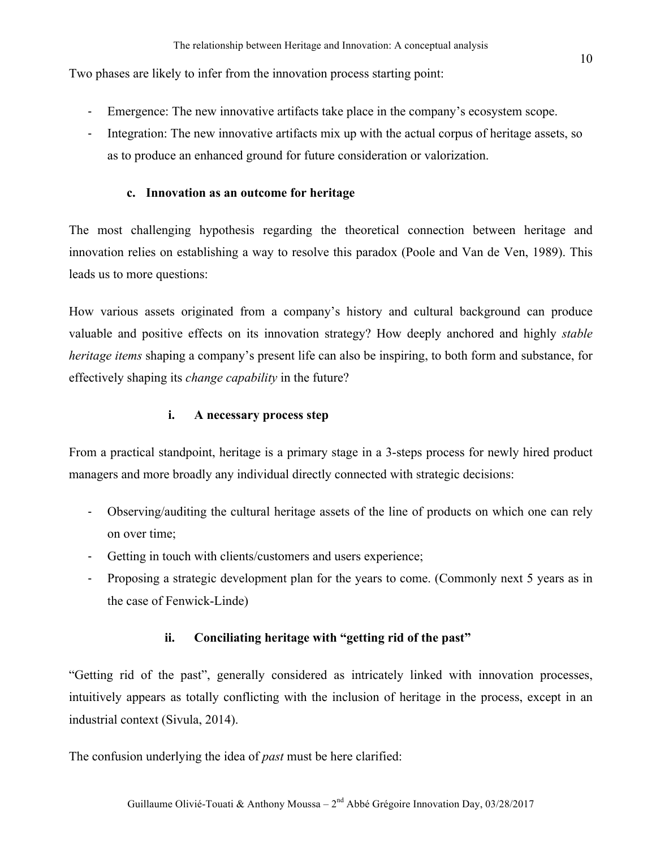Two phases are likely to infer from the innovation process starting point:

- Emergence: The new innovative artifacts take place in the company's ecosystem scope.
- Integration: The new innovative artifacts mix up with the actual corpus of heritage assets, so as to produce an enhanced ground for future consideration or valorization.

## **c. Innovation as an outcome for heritage**

The most challenging hypothesis regarding the theoretical connection between heritage and innovation relies on establishing a way to resolve this paradox (Poole and Van de Ven, 1989). This leads us to more questions:

How various assets originated from a company's history and cultural background can produce valuable and positive effects on its innovation strategy? How deeply anchored and highly *stable heritage items* shaping a company's present life can also be inspiring, to both form and substance, for effectively shaping its *change capability* in the future?

# **i. A necessary process step**

From a practical standpoint, heritage is a primary stage in a 3-steps process for newly hired product managers and more broadly any individual directly connected with strategic decisions:

- Observing/auditing the cultural heritage assets of the line of products on which one can rely on over time;
- Getting in touch with clients/customers and users experience;
- Proposing a strategic development plan for the years to come. (Commonly next 5 years as in the case of Fenwick-Linde)

# **ii. Conciliating heritage with "getting rid of the past"**

"Getting rid of the past", generally considered as intricately linked with innovation processes, intuitively appears as totally conflicting with the inclusion of heritage in the process, except in an industrial context (Sivula, 2014).

The confusion underlying the idea of *past* must be here clarified: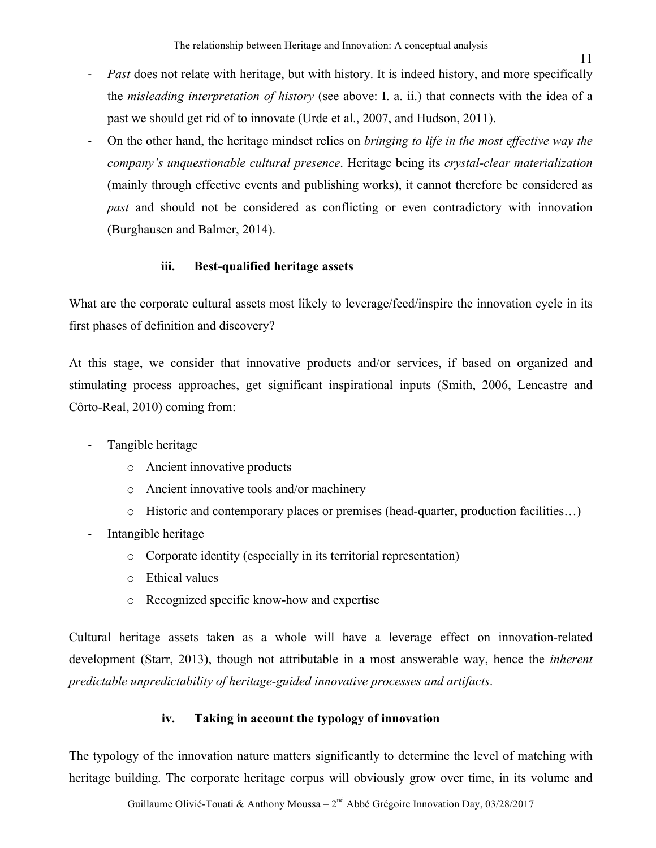- *Past* does not relate with heritage, but with history. It is indeed history, and more specifically the *misleading interpretation of history* (see above: I. a. ii.) that connects with the idea of a past we should get rid of to innovate (Urde et al., 2007, and Hudson, 2011).
- On the other hand, the heritage mindset relies on *bringing to life in the most effective way the company's unquestionable cultural presence*. Heritage being its *crystal-clear materialization* (mainly through effective events and publishing works), it cannot therefore be considered as *past* and should not be considered as conflicting or even contradictory with innovation (Burghausen and Balmer, 2014).

# **iii. Best-qualified heritage assets**

What are the corporate cultural assets most likely to leverage/feed/inspire the innovation cycle in its first phases of definition and discovery?

At this stage, we consider that innovative products and/or services, if based on organized and stimulating process approaches, get significant inspirational inputs (Smith, 2006, Lencastre and Côrto-Real, 2010) coming from:

- Tangible heritage
	- o Ancient innovative products
	- o Ancient innovative tools and/or machinery
	- o Historic and contemporary places or premises (head-quarter, production facilities…)
- Intangible heritage
	- o Corporate identity (especially in its territorial representation)
	- o Ethical values
	- o Recognized specific know-how and expertise

Cultural heritage assets taken as a whole will have a leverage effect on innovation-related development (Starr, 2013), though not attributable in a most answerable way, hence the *inherent predictable unpredictability of heritage-guided innovative processes and artifacts*.

# **iv. Taking in account the typology of innovation**

The typology of the innovation nature matters significantly to determine the level of matching with heritage building. The corporate heritage corpus will obviously grow over time, in its volume and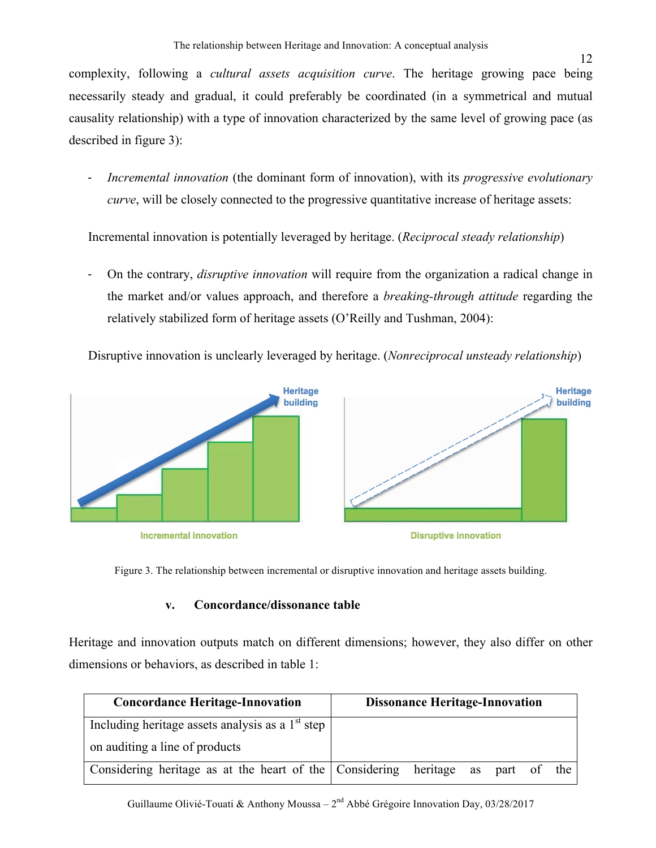12

complexity, following a *cultural assets acquisition curve*. The heritage growing pace being necessarily steady and gradual, it could preferably be coordinated (in a symmetrical and mutual causality relationship) with a type of innovation characterized by the same level of growing pace (as described in figure 3):

- *Incremental innovation* (the dominant form of innovation), with its *progressive evolutionary curve*, will be closely connected to the progressive quantitative increase of heritage assets:

Incremental innovation is potentially leveraged by heritage. (*Reciprocal steady relationship*)

- On the contrary, *disruptive innovation* will require from the organization a radical change in the market and/or values approach, and therefore a *breaking-through attitude* regarding the relatively stabilized form of heritage assets (O'Reilly and Tushman, 2004):

Disruptive innovation is unclearly leveraged by heritage. (*Nonreciprocal unsteady relationship*)



Figure 3. The relationship between incremental or disruptive innovation and heritage assets building.

# **v. Concordance/dissonance table**

Heritage and innovation outputs match on different dimensions; however, they also differ on other dimensions or behaviors, as described in table 1:

| <b>Concordance Heritage-Innovation</b>                  | <b>Dissonance Heritage-Innovation</b> |                         |  |  |  |
|---------------------------------------------------------|---------------------------------------|-------------------------|--|--|--|
| Including heritage assets analysis as a $1st$ step      |                                       |                         |  |  |  |
| on auditing a line of products                          |                                       |                         |  |  |  |
| Considering heritage as at the heart of the Considering |                                       | heritage as part of the |  |  |  |

Guillaume Olivié-Touati & Anthony Moussa –  $2<sup>nd</sup>$  Abbé Grégoire Innovation Day, 03/28/2017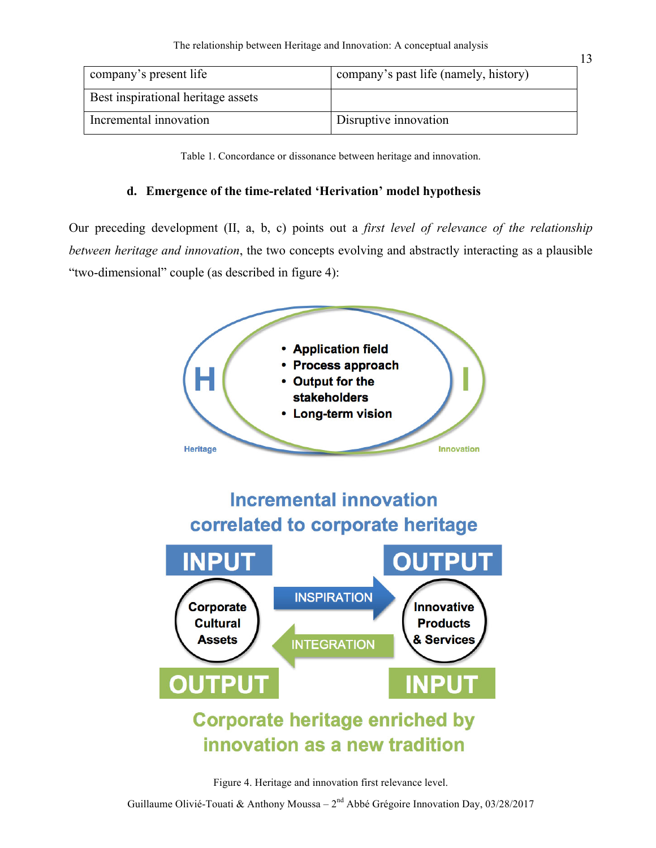| company's present life             | company's past life (namely, history) |  |
|------------------------------------|---------------------------------------|--|
| Best inspirational heritage assets |                                       |  |
| Incremental innovation             | Disruptive innovation                 |  |

Table 1. Concordance or dissonance between heritage and innovation.

## **d. Emergence of the time-related 'Herivation' model hypothesis**

Our preceding development (II, a, b, c) points out a *first level of relevance of the relationship between heritage and innovation*, the two concepts evolving and abstractly interacting as a plausible "two-dimensional" couple (as described in figure 4):

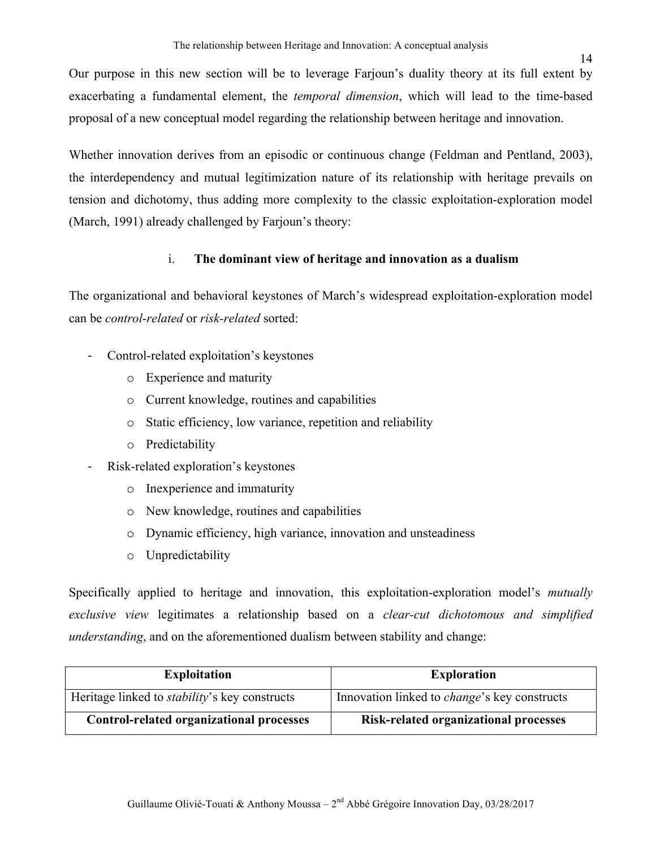Our purpose in this new section will be to leverage Farjoun's duality theory at its full extent by exacerbating a fundamental element, the *temporal dimension*, which will lead to the time-based proposal of a new conceptual model regarding the relationship between heritage and innovation.

Whether innovation derives from an episodic or continuous change (Feldman and Pentland, 2003), the interdependency and mutual legitimization nature of its relationship with heritage prevails on tension and dichotomy, thus adding more complexity to the classic exploitation-exploration model (March, 1991) already challenged by Farjoun's theory:

# i. **The dominant view of heritage and innovation as a dualism**

The organizational and behavioral keystones of March's widespread exploitation-exploration model can be *control-related* or *risk-related* sorted:

- Control-related exploitation's keystones
	- o Experience and maturity
	- o Current knowledge, routines and capabilities
	- o Static efficiency, low variance, repetition and reliability
	- o Predictability
- Risk-related exploration's keystones
	- o Inexperience and immaturity
	- o New knowledge, routines and capabilities
	- o Dynamic efficiency, high variance, innovation and unsteadiness
	- o Unpredictability

Specifically applied to heritage and innovation, this exploitation-exploration model's *mutually exclusive view* legitimates a relationship based on a *clear-cut dichotomous and simplified understanding*, and on the aforementioned dualism between stability and change:

| <b>Exploitation</b>                                   | <b>Exploration</b>                                   |
|-------------------------------------------------------|------------------------------------------------------|
| Heritage linked to <i>stability</i> 's key constructs | Innovation linked to <i>change</i> 's key constructs |
| <b>Control-related organizational processes</b>       | Risk-related organizational processes                |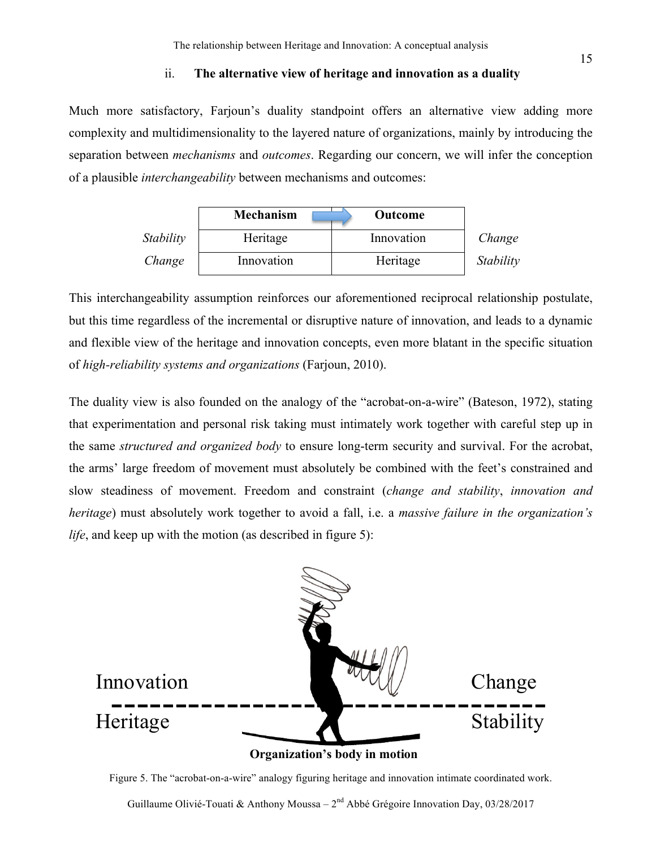#### ii. **The alternative view of heritage and innovation as a duality**

Much more satisfactory, Farjoun's duality standpoint offers an alternative view adding more complexity and multidimensionality to the layered nature of organizations, mainly by introducing the separation between *mechanisms* and *outcomes*. Regarding our concern, we will infer the conception of a plausible *interchangeability* between mechanisms and outcomes:

|           | <b>Mechanism</b> | Outcome    |           |
|-----------|------------------|------------|-----------|
| Stability | Heritage         | Innovation | Change    |
| Change    | Innovation       | Heritage   | Stability |

This interchangeability assumption reinforces our aforementioned reciprocal relationship postulate, but this time regardless of the incremental or disruptive nature of innovation, and leads to a dynamic and flexible view of the heritage and innovation concepts, even more blatant in the specific situation of *high-reliability systems and organizations* (Farjoun, 2010).

The duality view is also founded on the analogy of the "acrobat-on-a-wire" (Bateson, 1972), stating that experimentation and personal risk taking must intimately work together with careful step up in the same *structured and organized body* to ensure long-term security and survival. For the acrobat, the arms' large freedom of movement must absolutely be combined with the feet's constrained and slow steadiness of movement. Freedom and constraint (*change and stability*, *innovation and heritage*) must absolutely work together to avoid a fall, i.e. a *massive failure in the organization's life*, and keep up with the motion (as described in figure 5):



Figure 5. The "acrobat-on-a-wire" analogy figuring heritage and innovation intimate coordinated work.

Guillaume Olivié-Touati & Anthony Moussa –  $2<sup>nd</sup>$  Abbé Grégoire Innovation Day, 03/28/2017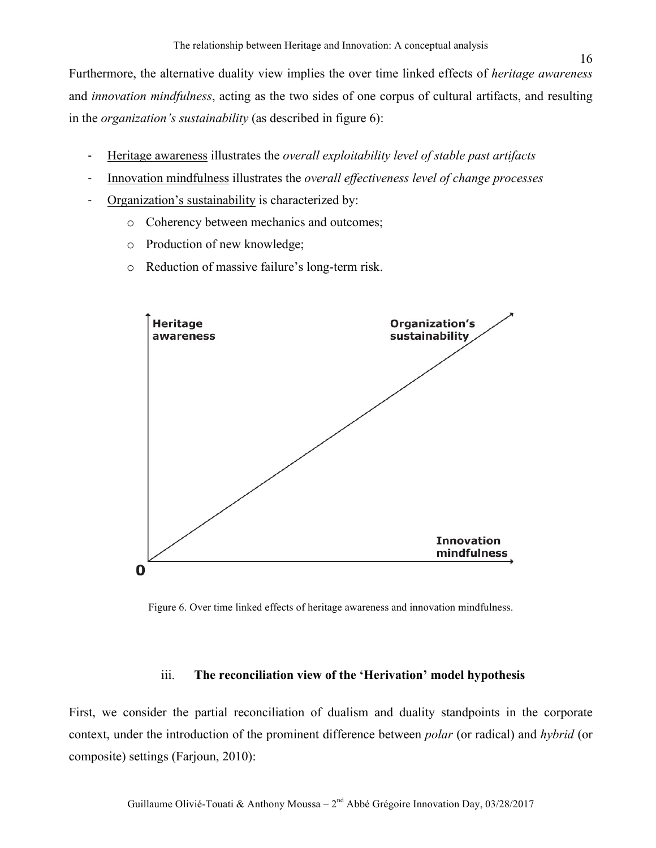Furthermore, the alternative duality view implies the over time linked effects of *heritage awareness* and *innovation mindfulness*, acting as the two sides of one corpus of cultural artifacts, and resulting in the *organization's sustainability* (as described in figure 6):

- Heritage awareness illustrates the *overall exploitability level of stable past artifacts*
- Innovation mindfulness illustrates the *overall effectiveness level of change processes*
- Organization's sustainability is characterized by:
	- o Coherency between mechanics and outcomes;
	- o Production of new knowledge;
	- o Reduction of massive failure's long-term risk.



Figure 6. Over time linked effects of heritage awareness and innovation mindfulness.

#### iii. **The reconciliation view of the 'Herivation' model hypothesis**

First, we consider the partial reconciliation of dualism and duality standpoints in the corporate context, under the introduction of the prominent difference between *polar* (or radical) and *hybrid* (or composite) settings (Farjoun, 2010):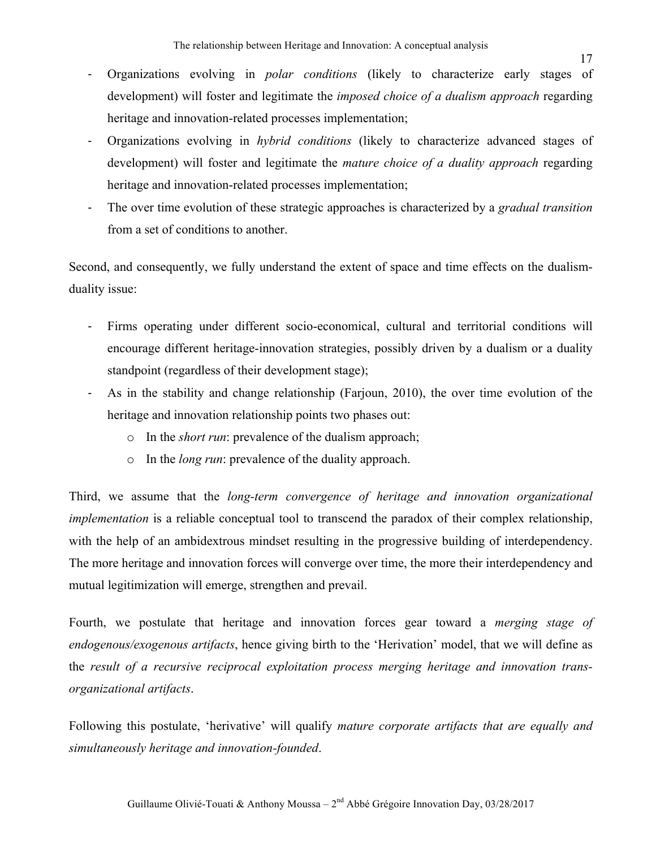- Organizations evolving in *polar conditions* (likely to characterize early stages of development) will foster and legitimate the *imposed choice of a dualism approach* regarding heritage and innovation-related processes implementation;
- Organizations evolving in *hybrid conditions* (likely to characterize advanced stages of development) will foster and legitimate the *mature choice of a duality approach* regarding heritage and innovation-related processes implementation;
- The over time evolution of these strategic approaches is characterized by a *gradual transition* from a set of conditions to another.

Second, and consequently, we fully understand the extent of space and time effects on the dualismduality issue:

- Firms operating under different socio-economical, cultural and territorial conditions will encourage different heritage-innovation strategies, possibly driven by a dualism or a duality standpoint (regardless of their development stage);
- As in the stability and change relationship (Farjoun, 2010), the over time evolution of the heritage and innovation relationship points two phases out:
	- o In the *short run*: prevalence of the dualism approach;
	- o In the *long run*: prevalence of the duality approach.

Third, we assume that the *long-term convergence of heritage and innovation organizational implementation* is a reliable conceptual tool to transcend the paradox of their complex relationship, with the help of an ambidextrous mindset resulting in the progressive building of interdependency. The more heritage and innovation forces will converge over time, the more their interdependency and mutual legitimization will emerge, strengthen and prevail.

Fourth, we postulate that heritage and innovation forces gear toward a *merging stage of endogenous/exogenous artifacts*, hence giving birth to the 'Herivation' model, that we will define as the *result of a recursive reciprocal exploitation process merging heritage and innovation transorganizational artifacts*.

Following this postulate, 'herivative' will qualify *mature corporate artifacts that are equally and simultaneously heritage and innovation-founded*.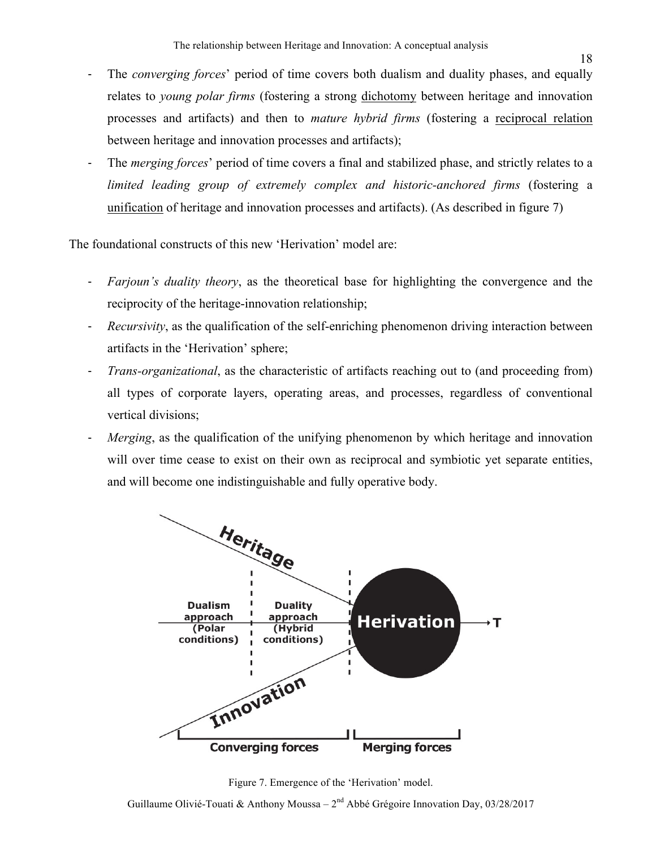- The *converging forces*' period of time covers both dualism and duality phases, and equally relates to *young polar firms* (fostering a strong dichotomy between heritage and innovation processes and artifacts) and then to *mature hybrid firms* (fostering a reciprocal relation between heritage and innovation processes and artifacts);
- The *merging forces*' period of time covers a final and stabilized phase, and strictly relates to a *limited leading group of extremely complex and historic-anchored firms* (fostering a unification of heritage and innovation processes and artifacts). (As described in figure 7)

The foundational constructs of this new 'Herivation' model are:

- *Farjoun's duality theory*, as the theoretical base for highlighting the convergence and the reciprocity of the heritage-innovation relationship;
- *Recursivity*, as the qualification of the self-enriching phenomenon driving interaction between artifacts in the 'Herivation' sphere;
- *Trans-organizational*, as the characteristic of artifacts reaching out to (and proceeding from) all types of corporate layers, operating areas, and processes, regardless of conventional vertical divisions;
- *Merging*, as the qualification of the unifying phenomenon by which heritage and innovation will over time cease to exist on their own as reciprocal and symbiotic yet separate entities, and will become one indistinguishable and fully operative body.



Figure 7. Emergence of the 'Herivation' model.

Guillaume Olivié-Touati & Anthony Moussa –  $2<sup>nd</sup>$  Abbé Grégoire Innovation Day, 03/28/2017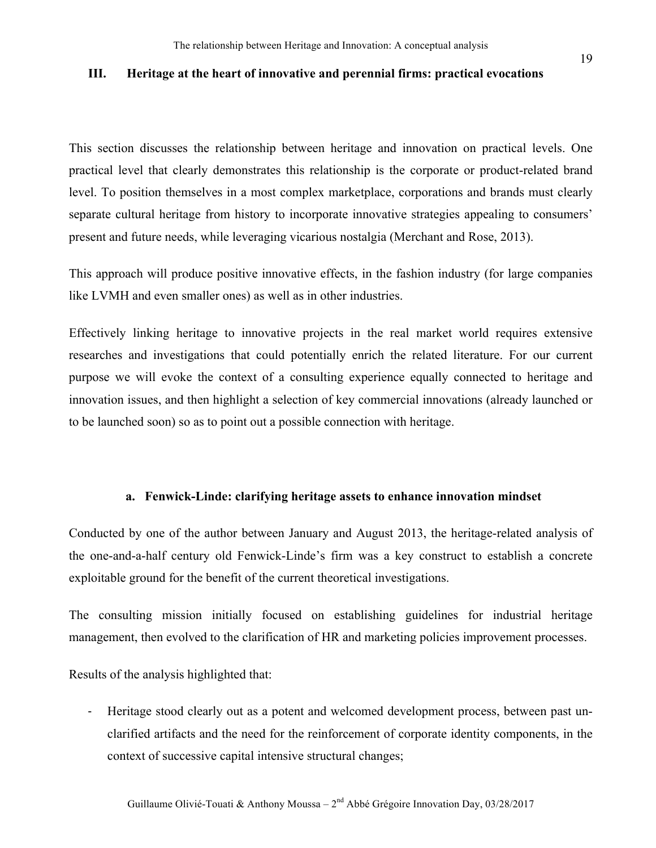#### **III. Heritage at the heart of innovative and perennial firms: practical evocations**

This section discusses the relationship between heritage and innovation on practical levels. One practical level that clearly demonstrates this relationship is the corporate or product-related brand level. To position themselves in a most complex marketplace, corporations and brands must clearly separate cultural heritage from history to incorporate innovative strategies appealing to consumers' present and future needs, while leveraging vicarious nostalgia (Merchant and Rose, 2013).

This approach will produce positive innovative effects, in the fashion industry (for large companies like LVMH and even smaller ones) as well as in other industries.

Effectively linking heritage to innovative projects in the real market world requires extensive researches and investigations that could potentially enrich the related literature. For our current purpose we will evoke the context of a consulting experience equally connected to heritage and innovation issues, and then highlight a selection of key commercial innovations (already launched or to be launched soon) so as to point out a possible connection with heritage.

#### **a. Fenwick-Linde: clarifying heritage assets to enhance innovation mindset**

Conducted by one of the author between January and August 2013, the heritage-related analysis of the one-and-a-half century old Fenwick-Linde's firm was a key construct to establish a concrete exploitable ground for the benefit of the current theoretical investigations.

The consulting mission initially focused on establishing guidelines for industrial heritage management, then evolved to the clarification of HR and marketing policies improvement processes.

Results of the analysis highlighted that:

- Heritage stood clearly out as a potent and welcomed development process, between past unclarified artifacts and the need for the reinforcement of corporate identity components, in the context of successive capital intensive structural changes;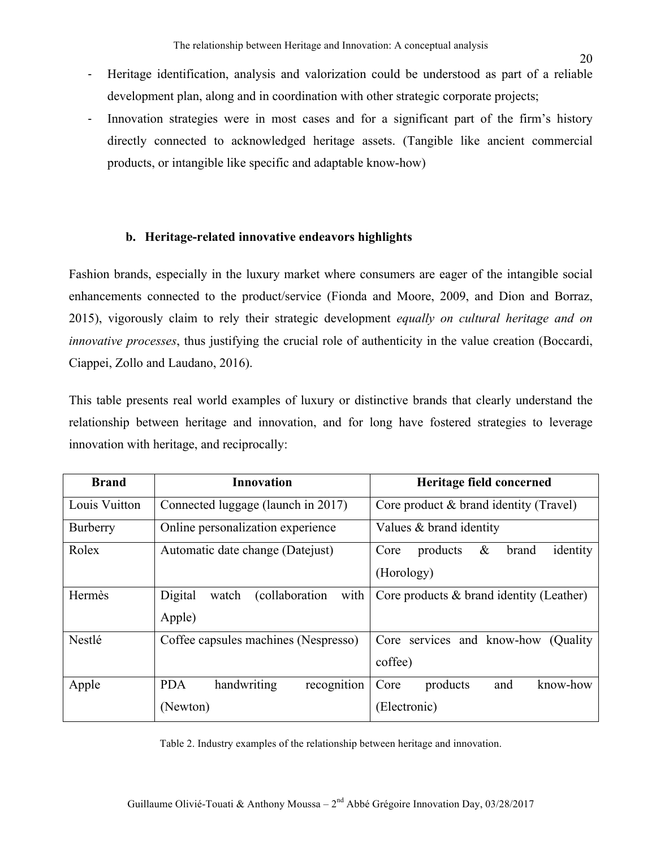- Heritage identification, analysis and valorization could be understood as part of a reliable development plan, along and in coordination with other strategic corporate projects;
- Innovation strategies were in most cases and for a significant part of the firm's history directly connected to acknowledged heritage assets. (Tangible like ancient commercial products, or intangible like specific and adaptable know-how)

## **b. Heritage-related innovative endeavors highlights**

Fashion brands, especially in the luxury market where consumers are eager of the intangible social enhancements connected to the product/service (Fionda and Moore, 2009, and Dion and Borraz, 2015), vigorously claim to rely their strategic development *equally on cultural heritage and on innovative processes*, thus justifying the crucial role of authenticity in the value creation (Boccardi, Ciappei, Zollo and Laudano, 2016).

This table presents real world examples of luxury or distinctive brands that clearly understand the relationship between heritage and innovation, and for long have fostered strategies to leverage innovation with heritage, and reciprocally:

| <b>Brand</b>  | <b>Innovation</b>                                  | Heritage field concerned                      |
|---------------|----------------------------------------------------|-----------------------------------------------|
| Louis Vuitton | Connected luggage (launch in 2017)                 | Core product $&$ brand identity (Travel)      |
| Burberry      | Online personalization experience                  | Values & brand identity                       |
| Rolex         | Automatic date change (Datejust)                   | $\&$<br>identity<br>products<br>Core<br>brand |
|               |                                                    | (Horology)                                    |
| Hermès        | Digital<br>with<br><i>(collaboration)</i><br>watch | Core products $\&$ brand identity (Leather)   |
|               | Apple)                                             |                                               |
| Nestlé        | Coffee capsules machines (Nespresso)               | Core services and know-how<br>(Quality        |
|               |                                                    | coffee)                                       |
| Apple         | recognition<br>handwriting<br><b>PDA</b>           | products<br>and<br>know-how<br>Core           |
|               | (Newton)                                           | (Electronic)                                  |

Table 2. Industry examples of the relationship between heritage and innovation.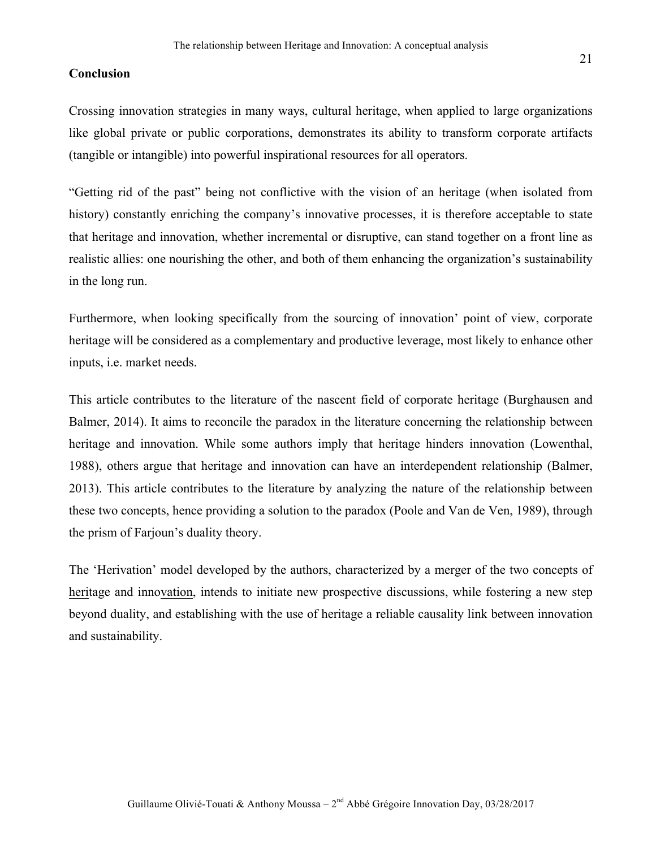# **Conclusion**

Crossing innovation strategies in many ways, cultural heritage, when applied to large organizations like global private or public corporations, demonstrates its ability to transform corporate artifacts (tangible or intangible) into powerful inspirational resources for all operators.

"Getting rid of the past" being not conflictive with the vision of an heritage (when isolated from history) constantly enriching the company's innovative processes, it is therefore acceptable to state that heritage and innovation, whether incremental or disruptive, can stand together on a front line as realistic allies: one nourishing the other, and both of them enhancing the organization's sustainability in the long run.

Furthermore, when looking specifically from the sourcing of innovation' point of view, corporate heritage will be considered as a complementary and productive leverage, most likely to enhance other inputs, i.e. market needs.

This article contributes to the literature of the nascent field of corporate heritage (Burghausen and Balmer, 2014). It aims to reconcile the paradox in the literature concerning the relationship between heritage and innovation. While some authors imply that heritage hinders innovation (Lowenthal, 1988), others argue that heritage and innovation can have an interdependent relationship (Balmer, 2013). This article contributes to the literature by analyzing the nature of the relationship between these two concepts, hence providing a solution to the paradox (Poole and Van de Ven, 1989), through the prism of Farjoun's duality theory.

The 'Herivation' model developed by the authors, characterized by a merger of the two concepts of heritage and innovation, intends to initiate new prospective discussions, while fostering a new step beyond duality, and establishing with the use of heritage a reliable causality link between innovation and sustainability.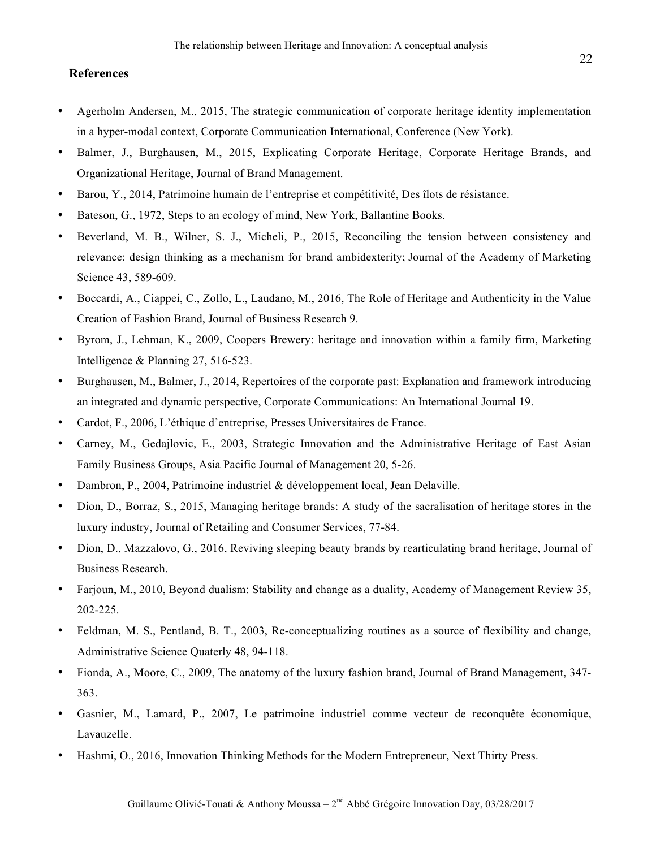#### **References**

- Agerholm Andersen, M., 2015, The strategic communication of corporate heritage identity implementation in a hyper-modal context, Corporate Communication International, Conference (New York).
- Balmer, J., Burghausen, M., 2015, Explicating Corporate Heritage, Corporate Heritage Brands, and Organizational Heritage, Journal of Brand Management.
- Barou, Y., 2014, Patrimoine humain de l'entreprise et compétitivité, Des îlots de résistance.
- Bateson, G., 1972, Steps to an ecology of mind, New York, Ballantine Books.
- Beverland, M. B., Wilner, S. J., Micheli, P., 2015, Reconciling the tension between consistency and relevance: design thinking as a mechanism for brand ambidexterity; Journal of the Academy of Marketing Science 43, 589-609.
- Boccardi, A., Ciappei, C., Zollo, L., Laudano, M., 2016, The Role of Heritage and Authenticity in the Value Creation of Fashion Brand, Journal of Business Research 9.
- Byrom, J., Lehman, K., 2009, Coopers Brewery: heritage and innovation within a family firm, Marketing Intelligence & Planning 27, 516-523.
- Burghausen, M., Balmer, J., 2014, Repertoires of the corporate past: Explanation and framework introducing an integrated and dynamic perspective, Corporate Communications: An International Journal 19.
- Cardot, F., 2006, L'éthique d'entreprise, Presses Universitaires de France.
- Carney, M., Gedajlovic, E., 2003, Strategic Innovation and the Administrative Heritage of East Asian Family Business Groups, Asia Pacific Journal of Management 20, 5-26.
- Dambron, P., 2004, Patrimoine industriel & développement local, Jean Delaville.
- Dion, D., Borraz, S., 2015, Managing heritage brands: A study of the sacralisation of heritage stores in the luxury industry, Journal of Retailing and Consumer Services, 77-84.
- Dion, D., Mazzalovo, G., 2016, Reviving sleeping beauty brands by rearticulating brand heritage, Journal of Business Research.
- Farjoun, M., 2010, Beyond dualism: Stability and change as a duality, Academy of Management Review 35, 202-225.
- Feldman, M. S., Pentland, B. T., 2003, Re-conceptualizing routines as a source of flexibility and change, Administrative Science Quaterly 48, 94-118.
- Fionda, A., Moore, C., 2009, The anatomy of the luxury fashion brand, Journal of Brand Management, 347- 363.
- Gasnier, M., Lamard, P., 2007, Le patrimoine industriel comme vecteur de reconquête économique, Lavauzelle.
- Hashmi, O., 2016, Innovation Thinking Methods for the Modern Entrepreneur, Next Thirty Press.